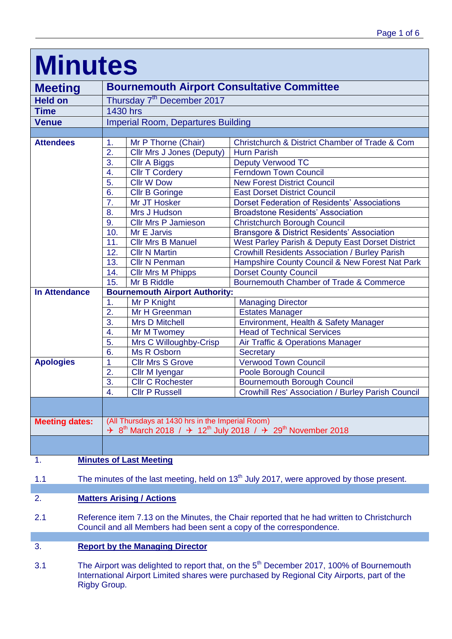| <b>Minutes</b>                                                                                    |                                                  |                                                                                                                                                                   |                                                        |  |  |
|---------------------------------------------------------------------------------------------------|--------------------------------------------------|-------------------------------------------------------------------------------------------------------------------------------------------------------------------|--------------------------------------------------------|--|--|
| <b>Meeting</b>                                                                                    |                                                  | <b>Bournemouth Airport Consultative Committee</b>                                                                                                                 |                                                        |  |  |
| <b>Held on</b>                                                                                    |                                                  | Thursday 7 <sup>th</sup> December 2017                                                                                                                            |                                                        |  |  |
| <b>Time</b>                                                                                       |                                                  | 1430 hrs                                                                                                                                                          |                                                        |  |  |
| <b>Venue</b>                                                                                      |                                                  | <b>Imperial Room, Departures Building</b>                                                                                                                         |                                                        |  |  |
|                                                                                                   |                                                  |                                                                                                                                                                   |                                                        |  |  |
| <b>Attendees</b>                                                                                  | 1.                                               | Mr P Thorne (Chair)                                                                                                                                               | Christchurch & District Chamber of Trade & Com         |  |  |
|                                                                                                   | 2.                                               | Cllr Mrs J Jones (Deputy)                                                                                                                                         | <b>Hurn Parish</b>                                     |  |  |
|                                                                                                   | 3.                                               | <b>Cllr A Biggs</b>                                                                                                                                               | <b>Deputy Verwood TC</b>                               |  |  |
|                                                                                                   | 4.                                               | <b>CIIr T Cordery</b>                                                                                                                                             | <b>Ferndown Town Council</b>                           |  |  |
|                                                                                                   | 5.                                               | <b>Cllr W Dow</b>                                                                                                                                                 | <b>New Forest District Council</b>                     |  |  |
|                                                                                                   | 6.                                               | <b>CIIr B Goringe</b>                                                                                                                                             | <b>East Dorset District Council</b>                    |  |  |
|                                                                                                   | 7.                                               | Mr JT Hosker                                                                                                                                                      | <b>Dorset Federation of Residents' Associations</b>    |  |  |
|                                                                                                   | 8.                                               | Mrs J Hudson                                                                                                                                                      | <b>Broadstone Residents' Association</b>               |  |  |
|                                                                                                   | 9.                                               | <b>Cllr Mrs P Jamieson</b>                                                                                                                                        | <b>Christchurch Borough Council</b>                    |  |  |
|                                                                                                   | 10.                                              | Mr E Jarvis                                                                                                                                                       | <b>Bransgore &amp; District Residents' Association</b> |  |  |
|                                                                                                   | 11.                                              | <b>Cllr Mrs B Manuel</b>                                                                                                                                          | West Parley Parish & Deputy East Dorset District       |  |  |
|                                                                                                   | 12.                                              | <b>Cllr N Martin</b>                                                                                                                                              | <b>Crowhill Residents Association / Burley Parish</b>  |  |  |
|                                                                                                   | 13.                                              | <b>Cllr N Penman</b>                                                                                                                                              | Hampshire County Council & New Forest Nat Park         |  |  |
|                                                                                                   | 14.                                              | <b>Cllr Mrs M Phipps</b>                                                                                                                                          | <b>Dorset County Council</b>                           |  |  |
|                                                                                                   | 15.                                              | Mr B Riddle                                                                                                                                                       | Bournemouth Chamber of Trade & Commerce                |  |  |
| <b>In Attendance</b>                                                                              |                                                  | <b>Bournemouth Airport Authority:</b>                                                                                                                             |                                                        |  |  |
|                                                                                                   | 1.                                               | Mr P Knight                                                                                                                                                       | <b>Managing Director</b>                               |  |  |
|                                                                                                   | $\overline{2}$ .                                 | Mr H Greenman                                                                                                                                                     | <b>Estates Manager</b>                                 |  |  |
|                                                                                                   | 3.                                               | <b>Mrs D Mitchell</b>                                                                                                                                             | Environment, Health & Safety Manager                   |  |  |
|                                                                                                   | 4.                                               | Mr M Twomey                                                                                                                                                       | <b>Head of Technical Services</b>                      |  |  |
|                                                                                                   | 5.                                               | Mrs C Willoughby-Crisp                                                                                                                                            | Air Traffic & Operations Manager                       |  |  |
|                                                                                                   | 6.                                               | Ms R Osborn                                                                                                                                                       | <b>Secretary</b>                                       |  |  |
| <b>Apologies</b>                                                                                  | 1                                                | <b>Cllr Mrs S Grove</b>                                                                                                                                           | <b>Verwood Town Council</b>                            |  |  |
|                                                                                                   | 2.                                               | Cllr M Iyengar                                                                                                                                                    | Poole Borough Council                                  |  |  |
|                                                                                                   | 3.                                               | <b>Cllr C Rochester</b>                                                                                                                                           | <b>Bournemouth Borough Council</b>                     |  |  |
|                                                                                                   | $\Delta$                                         | <b>Cllr P Russell</b>                                                                                                                                             | Crowhill Res' Association / Burley Parish Council      |  |  |
|                                                                                                   |                                                  |                                                                                                                                                                   |                                                        |  |  |
| <b>Meeting dates:</b>                                                                             | (All Thursdays at 1430 hrs in the Imperial Room) |                                                                                                                                                                   |                                                        |  |  |
|                                                                                                   |                                                  | $\div$ 8 <sup>th</sup> March 2018 / $\div$ 12 <sup>th</sup> July 2018 / $\div$ 29 <sup>th</sup> November 2018                                                     |                                                        |  |  |
|                                                                                                   |                                                  |                                                                                                                                                                   |                                                        |  |  |
| 1.                                                                                                | <b>Minutes of Last Meeting</b>                   |                                                                                                                                                                   |                                                        |  |  |
| The minutes of the last meeting, held on $13th$ July 2017, were approved by those present.<br>1.1 |                                                  |                                                                                                                                                                   |                                                        |  |  |
| 2.                                                                                                | <b>Matters Arising / Actions</b>                 |                                                                                                                                                                   |                                                        |  |  |
| 2.1                                                                                               |                                                  | Reference item 7.13 on the Minutes, the Chair reported that he had written to Christchurch<br>Council and all Members had been sent a copy of the correspondence. |                                                        |  |  |
| 3.                                                                                                | <b>Report by the Managing Director</b>           |                                                                                                                                                                   |                                                        |  |  |

3.1 The Airport was delighted to report that, on the 5<sup>th</sup> December 2017, 100% of Bournemouth International Airport Limited shares were purchased by Regional City Airports, part of the Rigby Group.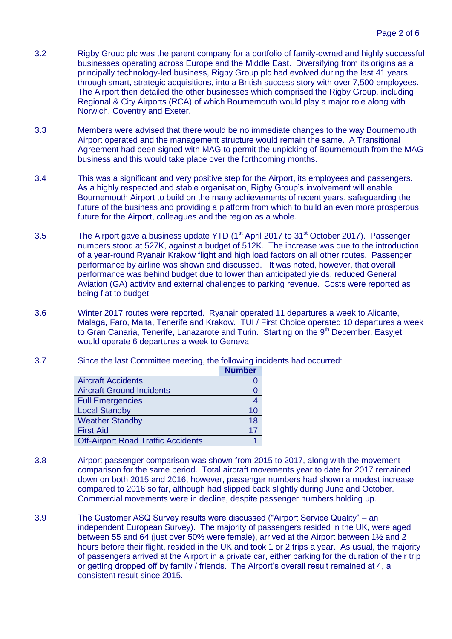- 3.2 Rigby Group plc was the parent company for a portfolio of family-owned and highly successful businesses operating across Europe and the Middle East. Diversifying from its origins as a principally technology-led business, Rigby Group plc had evolved during the last 41 years, through smart, strategic acquisitions, into a British success story with over 7,500 employees. The Airport then detailed the other businesses which comprised the Rigby Group, including Regional & City Airports (RCA) of which Bournemouth would play a major role along with Norwich, Coventry and Exeter.
- 3.3 Members were advised that there would be no immediate changes to the way Bournemouth Airport operated and the management structure would remain the same. A Transitional Agreement had been signed with MAG to permit the unpicking of Bournemouth from the MAG business and this would take place over the forthcoming months.
- 3.4 This was a significant and very positive step for the Airport, its employees and passengers. As a highly respected and stable organisation, Rigby Group's involvement will enable Bournemouth Airport to build on the many achievements of recent years, safeguarding the future of the business and providing a platform from which to build an even more prosperous future for the Airport, colleagues and the region as a whole.
- 3.5 The Airport gave a business update YTD  $(1<sup>st</sup>$  April 2017 to 31 $<sup>st</sup>$  October 2017). Passenger</sup> numbers stood at 527K, against a budget of 512K. The increase was due to the introduction of a year-round Ryanair Krakow flight and high load factors on all other routes. Passenger performance by airline was shown and discussed. It was noted, however, that overall performance was behind budget due to lower than anticipated yields, reduced General Aviation (GA) activity and external challenges to parking revenue. Costs were reported as being flat to budget.
- 3.6 Winter 2017 routes were reported. Ryanair operated 11 departures a week to Alicante, Malaga, Faro, Malta, Tenerife and Krakow. TUI / First Choice operated 10 departures a week to Gran Canaria, Tenerife, Lanazarote and Turin. Starting on the 9<sup>th</sup> December, Easyjet would operate 6 departures a week to Geneva.
- 3.7 Since the last Committee meeting, the following incidents had occurred:

|                                           | <b>Number</b> |
|-------------------------------------------|---------------|
| <b>Aircraft Accidents</b>                 |               |
| <b>Aircraft Ground Incidents</b>          |               |
| <b>Full Emergencies</b>                   |               |
| <b>Local Standby</b>                      | 10            |
| <b>Weather Standby</b>                    | 18            |
| <b>First Aid</b>                          | 17            |
| <b>Off-Airport Road Traffic Accidents</b> |               |

- 3.8 Airport passenger comparison was shown from 2015 to 2017, along with the movement comparison for the same period. Total aircraft movements year to date for 2017 remained down on both 2015 and 2016, however, passenger numbers had shown a modest increase compared to 2016 so far, although had slipped back slightly during June and October. Commercial movements were in decline, despite passenger numbers holding up.
- 3.9 The Customer ASQ Survey results were discussed ("Airport Service Quality" an independent European Survey). The majority of passengers resided in the UK, were aged between 55 and 64 (just over 50% were female), arrived at the Airport between 1½ and 2 hours before their flight, resided in the UK and took 1 or 2 trips a year. As usual, the majority of passengers arrived at the Airport in a private car, either parking for the duration of their trip or getting dropped off by family / friends. The Airport's overall result remained at 4, a consistent result since 2015.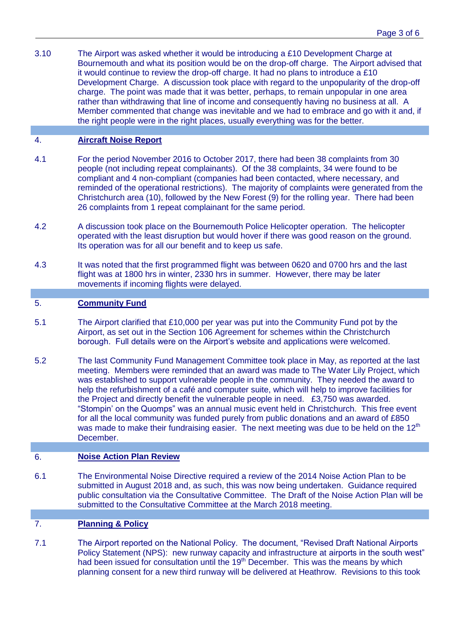3.10 The Airport was asked whether it would be introducing a £10 Development Charge at Bournemouth and what its position would be on the drop-off charge. The Airport advised that it would continue to review the drop-off charge. It had no plans to introduce a £10 Development Charge. A discussion took place with regard to the unpopularity of the drop-off charge. The point was made that it was better, perhaps, to remain unpopular in one area rather than withdrawing that line of income and consequently having no business at all. A Member commented that change was inevitable and we had to embrace and go with it and, if the right people were in the right places, usually everything was for the better.

# 4. **Aircraft Noise Report**

- 4.1 For the period November 2016 to October 2017, there had been 38 complaints from 30 people (not including repeat complainants). Of the 38 complaints, 34 were found to be compliant and 4 non-compliant (companies had been contacted, where necessary, and reminded of the operational restrictions). The majority of complaints were generated from the Christchurch area (10), followed by the New Forest (9) for the rolling year. There had been 26 complaints from 1 repeat complainant for the same period.
- 4.2 A discussion took place on the Bournemouth Police Helicopter operation. The helicopter operated with the least disruption but would hover if there was good reason on the ground. Its operation was for all our benefit and to keep us safe.
- 4.3 It was noted that the first programmed flight was between 0620 and 0700 hrs and the last flight was at 1800 hrs in winter, 2330 hrs in summer. However, there may be later movements if incoming flights were delayed.

#### 5. **Community Fund**

- 5.1 The Airport clarified that £10,000 per year was put into the Community Fund pot by the Airport, as set out in the Section 106 Agreement for schemes within the Christchurch borough. Full details were on the Airport's website and applications were welcomed.
- 5.2 The last Community Fund Management Committee took place in May, as reported at the last meeting. Members were reminded that an award was made to The Water Lily Project, which was established to support vulnerable people in the community. They needed the award to help the refurbishment of a café and computer suite, which will help to improve facilities for the Project and directly benefit the vulnerable people in need. £3,750 was awarded. "Stompin' on the Quomps" was an annual music event held in Christchurch. This free event for all the local community was funded purely from public donations and an award of £850 was made to make their fundraising easier. The next meeting was due to be held on the  $12<sup>th</sup>$ December.

### 6. **Noise Action Plan Review**

6.1 The Environmental Noise Directive required a review of the 2014 Noise Action Plan to be submitted in August 2018 and, as such, this was now being undertaken. Guidance required public consultation via the Consultative Committee. The Draft of the Noise Action Plan will be submitted to the Consultative Committee at the March 2018 meeting.

## 7. **Planning & Policy**

7.1 The Airport reported on the National Policy. The document, "Revised Draft National Airports Policy Statement (NPS): new runway capacity and infrastructure at airports in the south west" had been issued for consultation until the 19<sup>th</sup> December. This was the means by which planning consent for a new third runway will be delivered at Heathrow. Revisions to this took